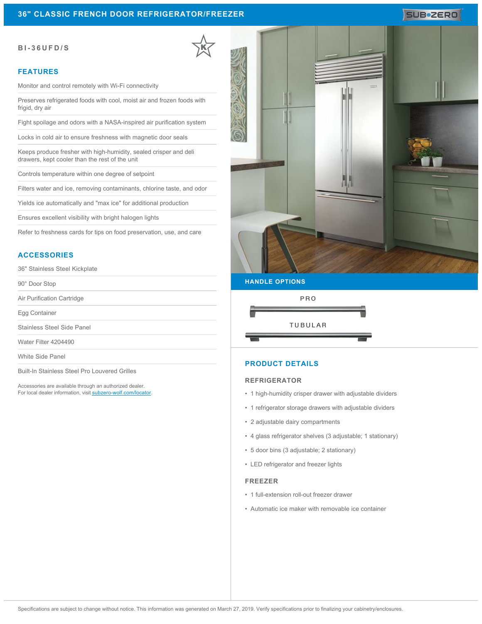# **36" CLASSIC FRENCH DOOR REFRIGERATOR/FREEZER**

#### **BI-36UFD/S**

#### **FEATURES**

Monitor and control remotely with Wi-Fi connectivity

Preserves refrigerated foods with cool, moist air and frozen foods with frigid, dry air

Fight spoilage and odors with a NASA-inspired air purification system

Locks in cold air to ensure freshness with magnetic door seals

Keeps produce fresher with high-humidity, sealed crisper and deli drawers, kept cooler than the rest of the unit

Controls temperature within one degree of setpoint

Filters water and ice, removing contaminants, chlorine taste, and odor

Yields ice automatically and "max ice" for additional production

Ensures excellent visibility with bright halogen lights

Refer to freshness cards for tips on food preservation, use, and care

## **ACCESSORIES**

36" Stainless Steel Kickplate

90° Door Stop

Air Purification Cartridge

Egg Container

Stainless Steel Side Panel

Water Filter 4204490

White Side Panel

Built-In Stainless Steel Pro Louvered Grilles

Accessories are available through an authorized dealer. For local dealer information, visit [subzero-wolf.com/locator.](http://www.subzero-wolf.com/locator)



SUB<sup>\*</sup>ZERO

#### **HANDLE OPTIONS**



## **PRODUCT DETAILS**

#### **REFRIGERATOR**

- 1 high-humidity crisper drawer with adjustable dividers
- 1 refrigerator storage drawers with adjustable dividers
- 2 adjustable dairy compartments
- 4 glass refrigerator shelves (3 adjustable; 1 stationary)
- 5 door bins (3 adjustable; 2 stationary)
- LED refrigerator and freezer lights

#### **FREEZER**

- 1 full-extension roll-out freezer drawer
- Automatic ice maker with removable ice container